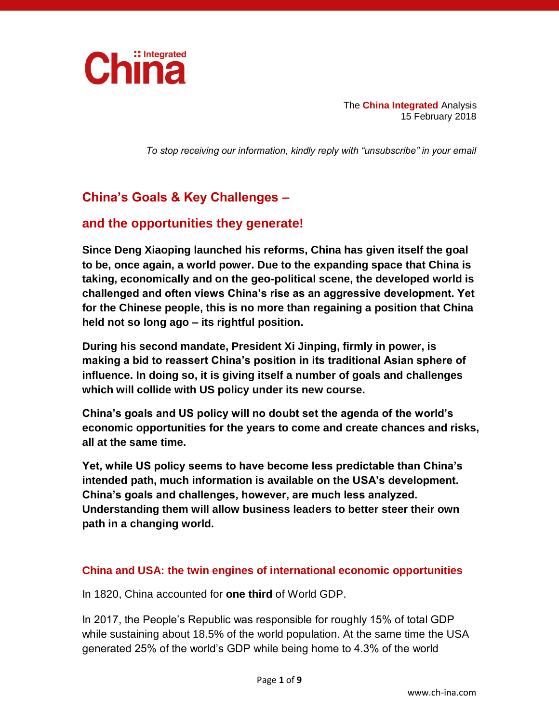

The **China Integrated** Analysis 15 February 2018

*To stop receiving our information, kindly reply with "unsubscribe" in your email*

# **China's Goals & Key Challenges –**

## **and the opportunities they generate!**

**Since Deng Xiaoping launched his reforms, China has given itself the goal to be, once again, a world power. Due to the expanding space that China is taking, economically and on the geo-political scene, the developed world is challenged and often views China's rise as an aggressive development. Yet for the Chinese people, this is no more than regaining a position that China held not so long ago – its rightful position.**

**During his second mandate, President Xi Jinping, firmly in power, is making a bid to reassert China's position in its traditional Asian sphere of influence. In doing so, it is giving itself a number of goals and challenges which will collide with US policy under its new course.**

**China's goals and US policy will no doubt set the agenda of the world's economic opportunities for the years to come and create chances and risks, all at the same time.**

**Yet, while US policy seems to have become less predictable than China's intended path, much information is available on the USA's development. China's goals and challenges, however, are much less analyzed. Understanding them will allow business leaders to better steer their own path in a changing world.**

#### **China and USA: the twin engines of international economic opportunities**

In 1820, China accounted for **one third** of World GDP.

In 2017, the People's Republic was responsible for roughly 15% of total GDP while sustaining about 18.5% of the world population. At the same time the USA generated 25% of the world's GDP while being home to 4.3% of the world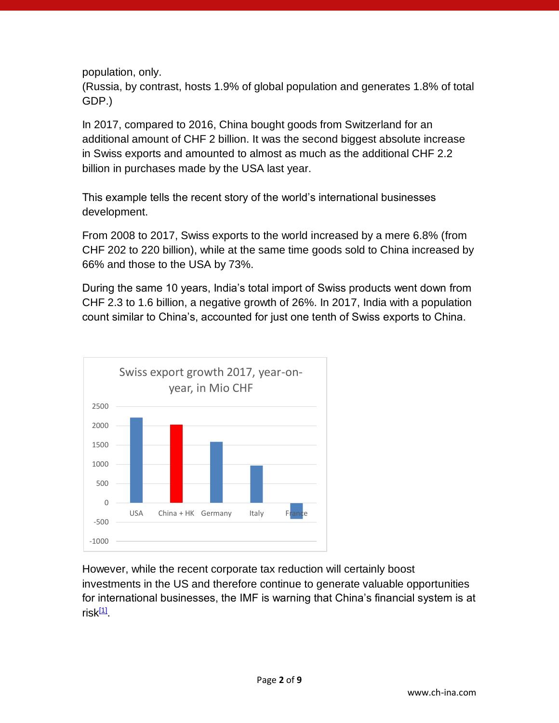population, only.

(Russia, by contrast, hosts 1.9% of global population and generates 1.8% of total GDP.)

In 2017, compared to 2016, China bought goods from Switzerland for an additional amount of CHF 2 billion. It was the second biggest absolute increase in Swiss exports and amounted to almost as much as the additional CHF 2.2 billion in purchases made by the USA last year.

This example tells the recent story of the world's international businesses development.

From 2008 to 2017, Swiss exports to the world increased by a mere 6.8% (from CHF 202 to 220 billion), while at the same time goods sold to China increased by 66% and those to the USA by 73%.

During the same 10 years, India's total import of Swiss products went down from CHF 2.3 to 1.6 billion, a negative growth of 26%. In 2017, India with a population count similar to China's, accounted for just one tenth of Swiss exports to China.



<span id="page-1-0"></span>However, while the recent corporate tax reduction will certainly boost investments in the US and therefore continue to generate valuable opportunities for international businesses, the IMF is warning that China's financial system is at risk<sup>[\[1\]](#page-7-0)</sup>.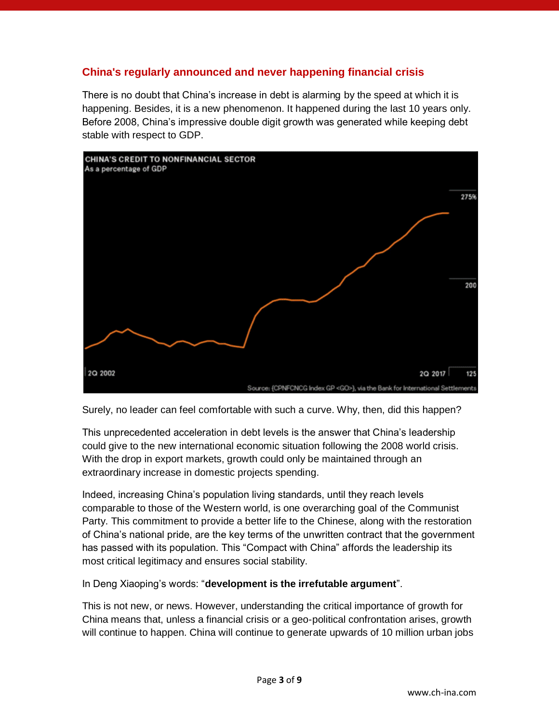#### **China's regularly announced and never happening financial crisis**

There is no doubt that China's increase in debt is alarming by the speed at which it is happening. Besides, it is a new phenomenon. It happened during the last 10 years only. Before 2008, China's impressive double digit growth was generated while keeping debt stable with respect to GDP.



Surely, no leader can feel comfortable with such a curve. Why, then, did this happen?

This unprecedented acceleration in debt levels is the answer that China's leadership could give to the new international economic situation following the 2008 world crisis. With the drop in export markets, growth could only be maintained through an extraordinary increase in domestic projects spending.

Indeed, increasing China's population living standards, until they reach levels comparable to those of the Western world, is one overarching goal of the Communist Party. This commitment to provide a better life to the Chinese, along with the restoration of China's national pride, are the key terms of the unwritten contract that the government has passed with its population. This "Compact with China" affords the leadership its most critical legitimacy and ensures social stability.

In Deng Xiaoping's words: "**development is the irrefutable argument**".

This is not new, or news. However, understanding the critical importance of growth for China means that, unless a financial crisis or a geo-political confrontation arises, growth will continue to happen. China will continue to generate upwards of 10 million urban jobs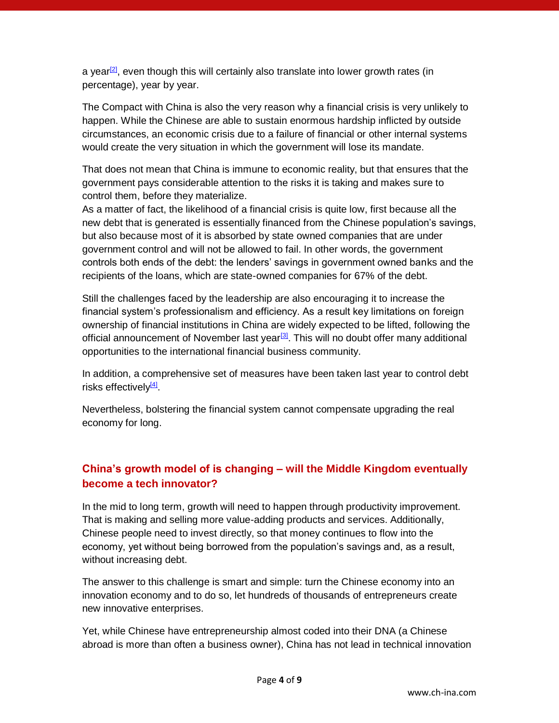<span id="page-3-0"></span>a year $[2]$ , even though this will certainly also translate into lower growth rates (in percentage), year by year.

The Compact with China is also the very reason why a financial crisis is very unlikely to happen. While the Chinese are able to sustain enormous hardship inflicted by outside circumstances, an economic crisis due to a failure of financial or other internal systems would create the very situation in which the government will lose its mandate.

That does not mean that China is immune to economic reality, but that ensures that the government pays considerable attention to the risks it is taking and makes sure to control them, before they materialize.

As a matter of fact, the likelihood of a financial crisis is quite low, first because all the new debt that is generated is essentially financed from the Chinese population's savings, but also because most of it is absorbed by state owned companies that are under government control and will not be allowed to fail. In other words, the government controls both ends of the debt: the lenders' savings in government owned banks and the recipients of the loans, which are state-owned companies for 67% of the debt.

Still the challenges faced by the leadership are also encouraging it to increase the financial system's professionalism and efficiency. As a result key limitations on foreign ownership of financial institutions in China are widely expected to be lifted, following the official announcement of November last year<sup>[\[3\]](#page-7-2)</sup>. This will no doubt offer many additional opportunities to the international financial business community.

<span id="page-3-2"></span><span id="page-3-1"></span>In addition, a comprehensive set of measures have been taken last year to control debt risks effectively<sup>[\[4\]](#page-8-0)</sup>.

Nevertheless, bolstering the financial system cannot compensate upgrading the real economy for long.

### **China's growth model of is changing – will the Middle Kingdom eventually become a tech innovator?**

In the mid to long term, growth will need to happen through productivity improvement. That is making and selling more value-adding products and services. Additionally, Chinese people need to invest directly, so that money continues to flow into the economy, yet without being borrowed from the population's savings and, as a result, without increasing debt.

The answer to this challenge is smart and simple: turn the Chinese economy into an innovation economy and to do so, let hundreds of thousands of entrepreneurs create new innovative enterprises.

Yet, while Chinese have entrepreneurship almost coded into their DNA (a Chinese abroad is more than often a business owner), China has not lead in technical innovation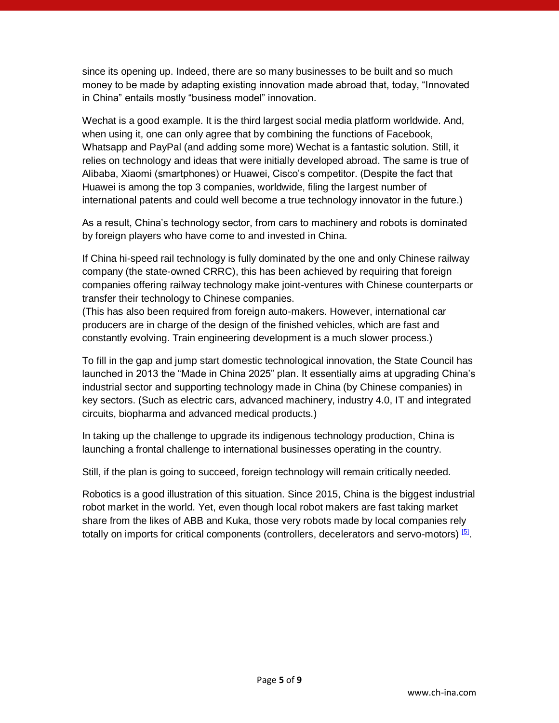since its opening up. Indeed, there are so many businesses to be built and so much money to be made by adapting existing innovation made abroad that, today, "Innovated in China" entails mostly "business model" innovation.

Wechat is a good example. It is the third largest social media platform worldwide. And, when using it, one can only agree that by combining the functions of Facebook, Whatsapp and PayPal (and adding some more) Wechat is a fantastic solution. Still, it relies on technology and ideas that were initially developed abroad. The same is true of Alibaba, Xiaomi (smartphones) or Huawei, Cisco's competitor. (Despite the fact that Huawei is among the top 3 companies, worldwide, filing the largest number of international patents and could well become a true technology innovator in the future.)

As a result, China's technology sector, from cars to machinery and robots is dominated by foreign players who have come to and invested in China.

If China hi-speed rail technology is fully dominated by the one and only Chinese railway company (the state-owned CRRC), this has been achieved by requiring that foreign companies offering railway technology make joint-ventures with Chinese counterparts or transfer their technology to Chinese companies.

(This has also been required from foreign auto-makers. However, international car producers are in charge of the design of the finished vehicles, which are fast and constantly evolving. Train engineering development is a much slower process.)

To fill in the gap and jump start domestic technological innovation, the State Council has launched in 2013 the "Made in China 2025" plan. It essentially aims at upgrading China's industrial sector and supporting technology made in China (by Chinese companies) in key sectors. (Such as electric cars, advanced machinery, industry 4.0, IT and integrated circuits, biopharma and advanced medical products.)

In taking up the challenge to upgrade its indigenous technology production, China is launching a frontal challenge to international businesses operating in the country.

Still, if the plan is going to succeed, foreign technology will remain critically needed.

<span id="page-4-0"></span>Robotics is a good illustration of this situation. Since 2015, China is the biggest industrial robot market in the world. Yet, even though local robot makers are fast taking market share from the likes of ABB and Kuka, those very robots made by local companies rely totally on imports for critical components (controllers, decelerators and servo-motors) <sup>[\[5\]](#page-8-1)</sup>.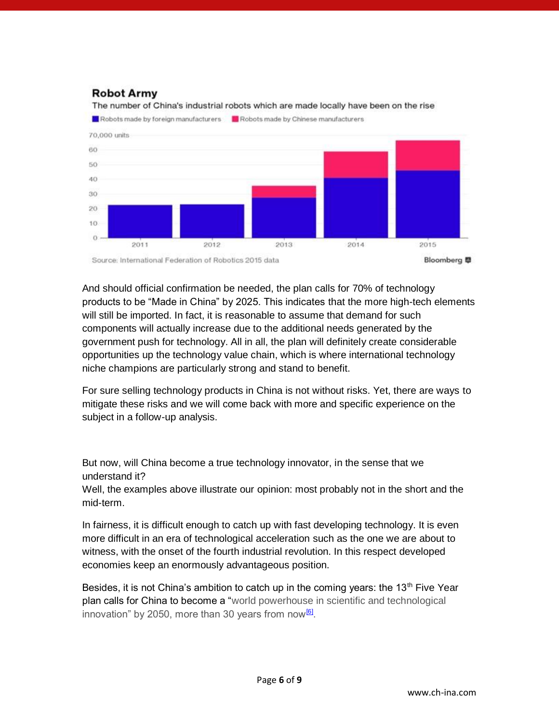### **Robot Army**

The number of China's industrial robots which are made locally have been on the rise

Robots made by foreign manufacturers [2] Robots made by Chinese manufacturers



And should official confirmation be needed, the plan calls for 70% of technology products to be "Made in China" by 2025. This indicates that the more high-tech elements will still be imported. In fact, it is reasonable to assume that demand for such components will actually increase due to the additional needs generated by the government push for technology. All in all, the plan will definitely create considerable opportunities up the technology value chain, which is where international technology niche champions are particularly strong and stand to benefit.

For sure selling technology products in China is not without risks. Yet, there are ways to mitigate these risks and we will come back with more and specific experience on the subject in a follow-up analysis.

But now, will China become a true technology innovator, in the sense that we understand it?

Well, the examples above illustrate our opinion: most probably not in the short and the mid-term.

In fairness, it is difficult enough to catch up with fast developing technology. It is even more difficult in an era of technological acceleration such as the one we are about to witness, with the onset of the fourth industrial revolution. In this respect developed economies keep an enormously advantageous position.

<span id="page-5-0"></span>Besides, it is not China's ambition to catch up in the coming years: the  $13<sup>th</sup>$  Five Year plan calls for China to become a "world powerhouse in scientific and technological innovation" by 2050, more than 30 years from now<sup>[\[6\]](#page-8-2)</sup>.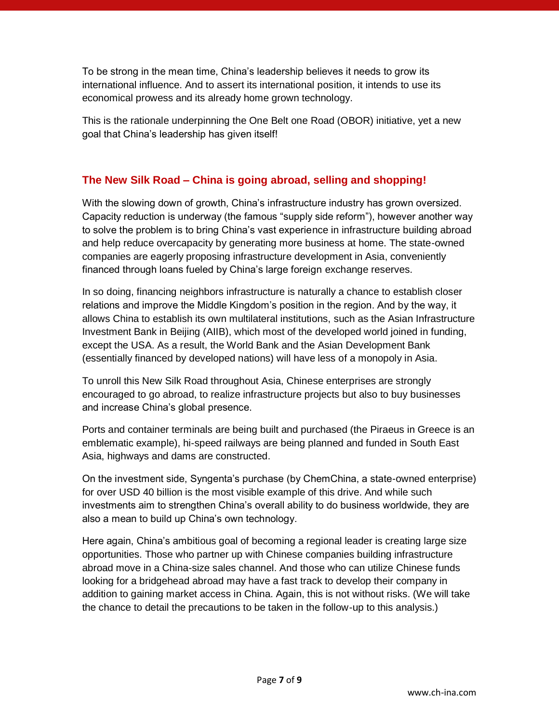To be strong in the mean time, China's leadership believes it needs to grow its international influence. And to assert its international position, it intends to use its economical prowess and its already home grown technology.

This is the rationale underpinning the One Belt one Road (OBOR) initiative, yet a new goal that China's leadership has given itself!

### **The New Silk Road – China is going abroad, selling and shopping!**

With the slowing down of growth, China's infrastructure industry has grown oversized. Capacity reduction is underway (the famous "supply side reform"), however another way to solve the problem is to bring China's vast experience in infrastructure building abroad and help reduce overcapacity by generating more business at home. The state-owned companies are eagerly proposing infrastructure development in Asia, conveniently financed through loans fueled by China's large foreign exchange reserves.

In so doing, financing neighbors infrastructure is naturally a chance to establish closer relations and improve the Middle Kingdom's position in the region. And by the way, it allows China to establish its own multilateral institutions, such as the Asian Infrastructure Investment Bank in Beijing (AIIB), which most of the developed world joined in funding, except the USA. As a result, the World Bank and the Asian Development Bank (essentially financed by developed nations) will have less of a monopoly in Asia.

To unroll this New Silk Road throughout Asia, Chinese enterprises are strongly encouraged to go abroad, to realize infrastructure projects but also to buy businesses and increase China's global presence.

Ports and container terminals are being built and purchased (the Piraeus in Greece is an emblematic example), hi-speed railways are being planned and funded in South East Asia, highways and dams are constructed.

On the investment side, Syngenta's purchase (by ChemChina, a state-owned enterprise) for over USD 40 billion is the most visible example of this drive. And while such investments aim to strengthen China's overall ability to do business worldwide, they are also a mean to build up China's own technology.

Here again, China's ambitious goal of becoming a regional leader is creating large size opportunities. Those who partner up with Chinese companies building infrastructure abroad move in a China-size sales channel. And those who can utilize Chinese funds looking for a bridgehead abroad may have a fast track to develop their company in addition to gaining market access in China. Again, this is not without risks. (We will take the chance to detail the precautions to be taken in the follow-up to this analysis.)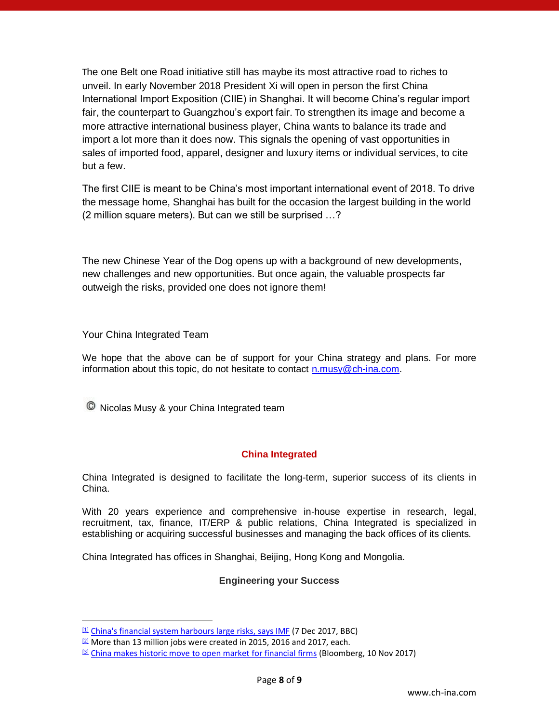The one Belt one Road initiative still has maybe its most attractive road to riches to unveil. In early November 2018 President Xi will open in person the first China International Import Exposition (CIIE) in Shanghai. It will become China's regular import fair, the counterpart to Guangzhou's export fair. To strengthen its image and become a more attractive international business player, China wants to balance its trade and import a lot more than it does now. This signals the opening of vast opportunities in sales of imported food, apparel, designer and luxury items or individual services, to cite but a few.

The first CIIE is meant to be China's most important international event of 2018. To drive the message home, Shanghai has built for the occasion the largest building in the world (2 million square meters). But can we still be surprised …?

The new Chinese Year of the Dog opens up with a background of new developments, new challenges and new opportunities. But once again, the valuable prospects far outweigh the risks, provided one does not ignore them!

Your China Integrated Team

We hope that the above can be of support for your China strategy and plans. For more information about this topic, do not hesitate to contact [n.musy@ch-ina.com.](mailto:n.musy@ch-ina.com)

<sup>©</sup> Nicolas Musy & your China Integrated team

#### **China Integrated**

China Integrated is designed to facilitate the long-term, superior success of its clients in China.

With 20 years experience and comprehensive in-house expertise in research, legal, recruitment, tax, finance, IT/ERP & public relations, China Integrated is specialized in establishing or acquiring successful businesses and managing the back offices of its clients.

China Integrated has offices in Shanghai, Beijing, Hong Kong and Mongolia.

#### **Engineering your Success**

<span id="page-7-0"></span> $[1]$  [China's financial system harbours large risks, says IMF](http://www.bbc.com/news/business-42263737) (7 Dec 2017, BBC)

<span id="page-7-1"></span><sup>&</sup>lt;sup>[\[2\]](#page-3-0)</sup> More than 13 million jobs were created in 2015, 2016 and 2017, each.

<span id="page-7-2"></span>[<sup>\[3\]</sup>](#page-3-1) [China makes historic move to open market for financial firms](https://www.bloomberg.com/news/articles/2017-11-10/china-to-allow-foreign-firms-to-own-51-of-securities-ventures) (Bloomberg, 10 Nov 2017)